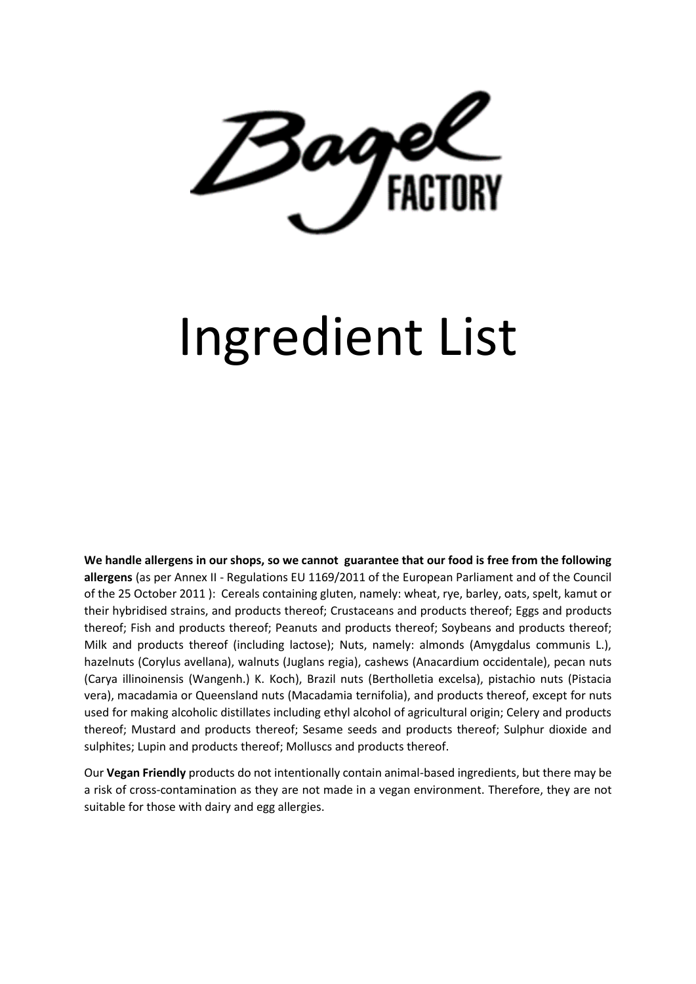

# Ingredient List

**We handle allergens in our shops, so we cannot guarantee that our food is free from the following allergens** (as per Annex II - Regulations EU 1169/2011 of the European Parliament and of the Council of the 25 October 2011 ): Cereals containing gluten, namely: wheat, rye, barley, oats, spelt, kamut or their hybridised strains, and products thereof; Crustaceans and products thereof; Eggs and products thereof; Fish and products thereof; Peanuts and products thereof; Soybeans and products thereof; Milk and products thereof (including lactose); Nuts, namely: almonds (Amygdalus communis L.), hazelnuts (Corylus avellana), walnuts (Juglans regia), cashews (Anacardium occidentale), pecan nuts (Carya illinoinensis (Wangenh.) K. Koch), Brazil nuts (Bertholletia excelsa), pistachio nuts (Pistacia vera), macadamia or Queensland nuts (Macadamia ternifolia), and products thereof, except for nuts used for making alcoholic distillates including ethyl alcohol of agricultural origin; Celery and products thereof; Mustard and products thereof; Sesame seeds and products thereof; Sulphur dioxide and sulphites; Lupin and products thereof; Molluscs and products thereof.

Our **Vegan Friendly** products do not intentionally contain animal-based ingredients, but there may be a risk of cross-contamination as they are not made in a vegan environment. Therefore, they are not suitable for those with dairy and egg allergies.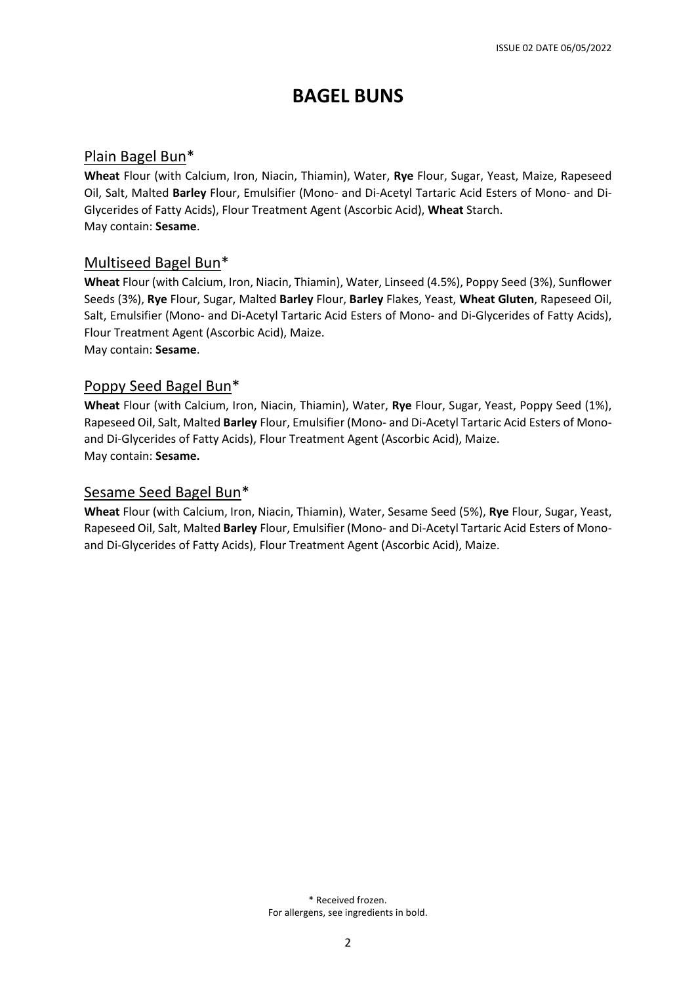# **BAGEL BUNS**

## Plain Bagel Bun\*

**Wheat** Flour (with Calcium, Iron, Niacin, Thiamin), Water, **Rye** Flour, Sugar, Yeast, Maize, Rapeseed Oil, Salt, Malted **Barley** Flour, Emulsifier (Mono- and Di-Acetyl Tartaric Acid Esters of Mono- and Di-Glycerides of Fatty Acids), Flour Treatment Agent (Ascorbic Acid), **Wheat** Starch. May contain: **Sesame**.

## Multiseed Bagel Bun\*

**Wheat** Flour (with Calcium, Iron, Niacin, Thiamin), Water, Linseed (4.5%), Poppy Seed (3%), Sunflower Seeds (3%), **Rye** Flour, Sugar, Malted **Barley** Flour, **Barley** Flakes, Yeast, **Wheat Gluten**, Rapeseed Oil, Salt, Emulsifier (Mono- and Di-Acetyl Tartaric Acid Esters of Mono- and Di-Glycerides of Fatty Acids), Flour Treatment Agent (Ascorbic Acid), Maize. May contain: **Sesame**.

#### Poppy Seed Bagel Bun\*

**Wheat** Flour (with Calcium, Iron, Niacin, Thiamin), Water, **Rye** Flour, Sugar, Yeast, Poppy Seed (1%), Rapeseed Oil, Salt, Malted **Barley** Flour, Emulsifier (Mono- and Di-Acetyl Tartaric Acid Esters of Monoand Di-Glycerides of Fatty Acids), Flour Treatment Agent (Ascorbic Acid), Maize. May contain: **Sesame.**

#### Sesame Seed Bagel Bun\*

**Wheat** Flour (with Calcium, Iron, Niacin, Thiamin), Water, Sesame Seed (5%), **Rye** Flour, Sugar, Yeast, Rapeseed Oil, Salt, Malted **Barley** Flour, Emulsifier (Mono- and Di-Acetyl Tartaric Acid Esters of Monoand Di-Glycerides of Fatty Acids), Flour Treatment Agent (Ascorbic Acid), Maize.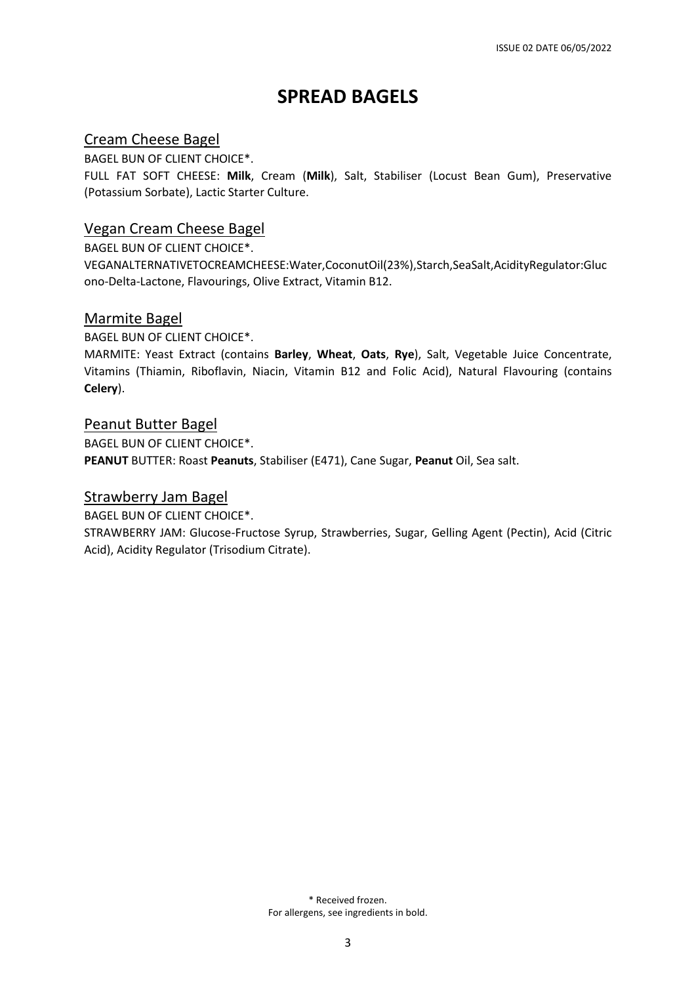# **SPREAD BAGELS**

## Cream Cheese Bagel

BAGEL BUN OF CLIENT CHOICE\*.

FULL FAT SOFT CHEESE: **Milk**, Cream (**Milk**), Salt, Stabiliser (Locust Bean Gum), Preservative (Potassium Sorbate), Lactic Starter Culture.

## Vegan Cream Cheese Bagel

BAGEL BUN OF CLIENT CHOICE\*.

VEGANALTERNATIVETOCREAMCHEESE:Water,CoconutOil(23%),Starch,SeaSalt,AcidityRegulator:Gluc ono-Delta-Lactone, Flavourings, Olive Extract, Vitamin B12.

## Marmite Bagel

BAGEL BUN OF CLIENT CHOICE\*.

MARMITE: Yeast Extract (contains **Barley**, **Wheat**, **Oats**, **Rye**), Salt, Vegetable Juice Concentrate, Vitamins (Thiamin, Riboflavin, Niacin, Vitamin B12 and Folic Acid), Natural Flavouring (contains **Celery**).

#### Peanut Butter Bagel

BAGEL BUN OF CLIENT CHOICE\*. **PEANUT** BUTTER: Roast **Peanuts**, Stabiliser (E471), Cane Sugar, **Peanut** Oil, Sea salt.

#### Strawberry Jam Bagel

BAGEL BUN OF CLIENT CHOICE\*.

STRAWBERRY JAM: Glucose-Fructose Syrup, Strawberries, Sugar, Gelling Agent (Pectin), Acid (Citric Acid), Acidity Regulator (Trisodium Citrate).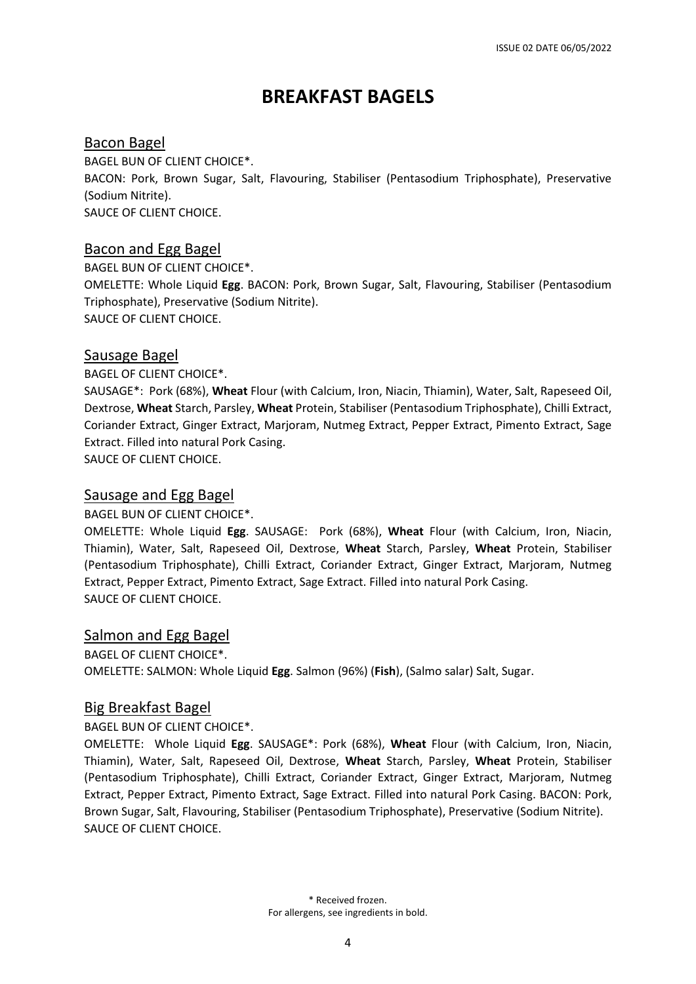# **BREAKFAST BAGELS**

## Bacon Bagel

BAGEL BUN OF CLIENT CHOICE\*.

BACON: Pork, Brown Sugar, Salt, Flavouring, Stabiliser (Pentasodium Triphosphate), Preservative (Sodium Nitrite).

SAUCE OF CLIENT CHOICE.

## Bacon and Egg Bagel

BAGEL BUN OF CLIENT CHOICE\*. OMELETTE: Whole Liquid **Egg**. BACON: Pork, Brown Sugar, Salt, Flavouring, Stabiliser (Pentasodium Triphosphate), Preservative (Sodium Nitrite). SAUCE OF CLIENT CHOICE.

## Sausage Bagel

BAGEL OF CLIENT CHOICE\*.

SAUSAGE\*: Pork (68%), **Wheat** Flour (with Calcium, Iron, Niacin, Thiamin), Water, Salt, Rapeseed Oil, Dextrose, **Wheat** Starch, Parsley, **Wheat** Protein, Stabiliser (Pentasodium Triphosphate), Chilli Extract, Coriander Extract, Ginger Extract, Marjoram, Nutmeg Extract, Pepper Extract, Pimento Extract, Sage Extract. Filled into natural Pork Casing.

SAUCE OF CLIENT CHOICE.

## Sausage and Egg Bagel

BAGEL BUN OF CLIENT CHOICE\*.

OMELETTE: Whole Liquid **Egg**. SAUSAGE: Pork (68%), **Wheat** Flour (with Calcium, Iron, Niacin, Thiamin), Water, Salt, Rapeseed Oil, Dextrose, **Wheat** Starch, Parsley, **Wheat** Protein, Stabiliser (Pentasodium Triphosphate), Chilli Extract, Coriander Extract, Ginger Extract, Marjoram, Nutmeg Extract, Pepper Extract, Pimento Extract, Sage Extract. Filled into natural Pork Casing. SAUCE OF CLIENT CHOICE.

## Salmon and Egg Bagel

BAGEL OF CLIENT CHOICE\*. OMELETTE: SALMON: Whole Liquid **Egg**. Salmon (96%) (**Fish**), (Salmo salar) Salt, Sugar.

## Big Breakfast Bagel

BAGEL BUN OF CLIENT CHOICE\*.

OMELETTE: Whole Liquid **Egg**. SAUSAGE\*: Pork (68%), **Wheat** Flour (with Calcium, Iron, Niacin, Thiamin), Water, Salt, Rapeseed Oil, Dextrose, **Wheat** Starch, Parsley, **Wheat** Protein, Stabiliser (Pentasodium Triphosphate), Chilli Extract, Coriander Extract, Ginger Extract, Marjoram, Nutmeg Extract, Pepper Extract, Pimento Extract, Sage Extract. Filled into natural Pork Casing. BACON: Pork, Brown Sugar, Salt, Flavouring, Stabiliser (Pentasodium Triphosphate), Preservative (Sodium Nitrite). SAUCE OF CLIENT CHOICE.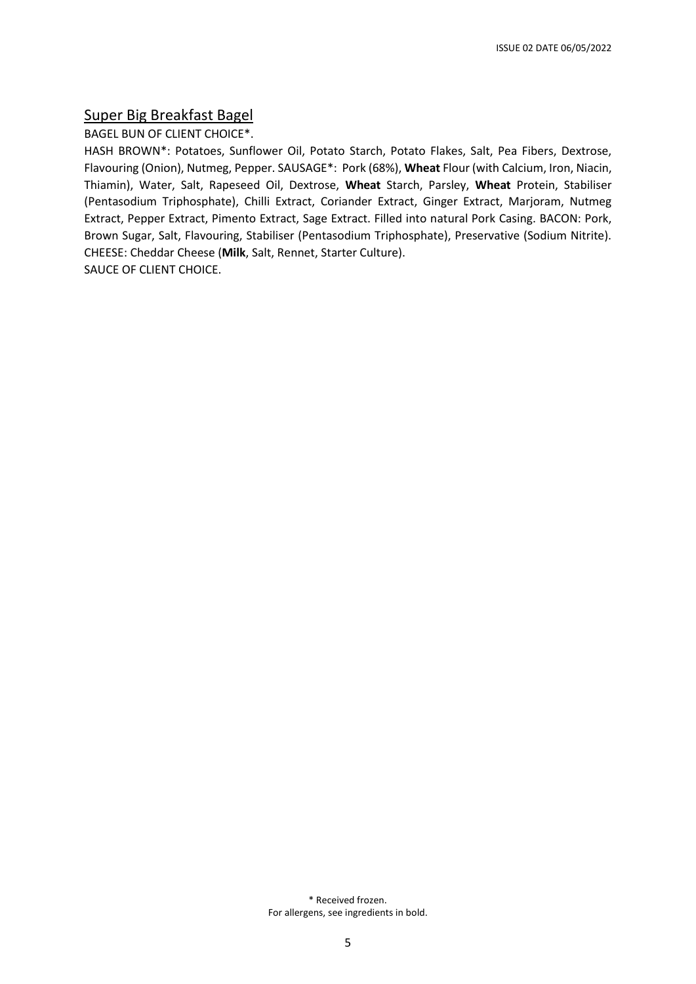#### Super Big Breakfast Bagel

BAGEL BUN OF CLIENT CHOICE\*.

HASH BROWN\*: Potatoes, Sunflower Oil, Potato Starch, Potato Flakes, Salt, Pea Fibers, Dextrose, Flavouring (Onion), Nutmeg, Pepper. SAUSAGE\*: Pork (68%), **Wheat** Flour (with Calcium, Iron, Niacin, Thiamin), Water, Salt, Rapeseed Oil, Dextrose, **Wheat** Starch, Parsley, **Wheat** Protein, Stabiliser (Pentasodium Triphosphate), Chilli Extract, Coriander Extract, Ginger Extract, Marjoram, Nutmeg Extract, Pepper Extract, Pimento Extract, Sage Extract. Filled into natural Pork Casing. BACON: Pork, Brown Sugar, Salt, Flavouring, Stabiliser (Pentasodium Triphosphate), Preservative (Sodium Nitrite). CHEESE: Cheddar Cheese (**Milk**, Salt, Rennet, Starter Culture). SAUCE OF CLIENT CHOICE.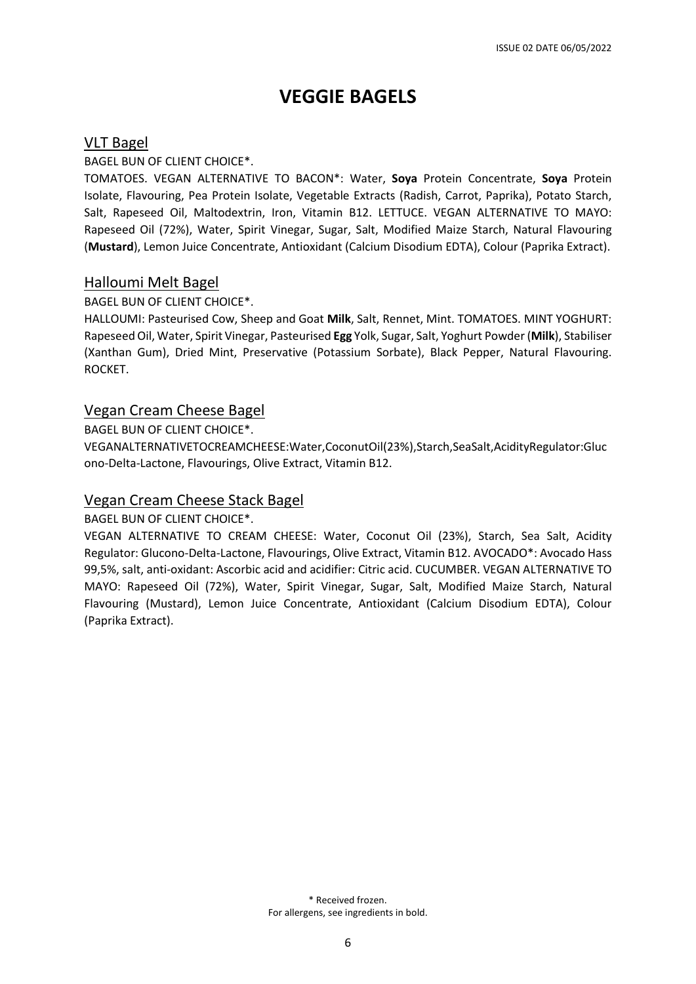# **VEGGIE BAGELS**

#### VLT Bagel

#### BAGEL BUN OF CLIENT CHOICE\*.

TOMATOES. VEGAN ALTERNATIVE TO BACON\*: Water, **Soya** Protein Concentrate, **Soya** Protein Isolate, Flavouring, Pea Protein Isolate, Vegetable Extracts (Radish, Carrot, Paprika), Potato Starch, Salt, Rapeseed Oil, Maltodextrin, Iron, Vitamin B12. LETTUCE. VEGAN ALTERNATIVE TO MAYO: Rapeseed Oil (72%), Water, Spirit Vinegar, Sugar, Salt, Modified Maize Starch, Natural Flavouring (**Mustard**), Lemon Juice Concentrate, Antioxidant (Calcium Disodium EDTA), Colour (Paprika Extract).

#### Halloumi Melt Bagel

#### BAGEL BUN OF CLIENT CHOICE\*.

HALLOUMI: Pasteurised Cow, Sheep and Goat **Milk**, Salt, Rennet, Mint. TOMATOES. MINT YOGHURT: Rapeseed Oil, Water, Spirit Vinegar, Pasteurised **Egg** Yolk, Sugar, Salt, Yoghurt Powder (**Milk**), Stabiliser (Xanthan Gum), Dried Mint, Preservative (Potassium Sorbate), Black Pepper, Natural Flavouring. ROCKET.

#### Vegan Cream Cheese Bagel

BAGEL BUN OF CLIENT CHOICE\*.

VEGANALTERNATIVETOCREAMCHEESE:Water,CoconutOil(23%),Starch,SeaSalt,AcidityRegulator:Gluc ono-Delta-Lactone, Flavourings, Olive Extract, Vitamin B12.

#### Vegan Cream Cheese Stack Bagel

BAGEL BUN OF CLIENT CHOICE\*.

VEGAN ALTERNATIVE TO CREAM CHEESE: Water, Coconut Oil (23%), Starch, Sea Salt, Acidity Regulator: Glucono-Delta-Lactone, Flavourings, Olive Extract, Vitamin B12. AVOCADO\*: Avocado Hass 99,5%, salt, anti-oxidant: Ascorbic acid and acidifier: Citric acid. CUCUMBER. VEGAN ALTERNATIVE TO MAYO: Rapeseed Oil (72%), Water, Spirit Vinegar, Sugar, Salt, Modified Maize Starch, Natural Flavouring (Mustard), Lemon Juice Concentrate, Antioxidant (Calcium Disodium EDTA), Colour (Paprika Extract).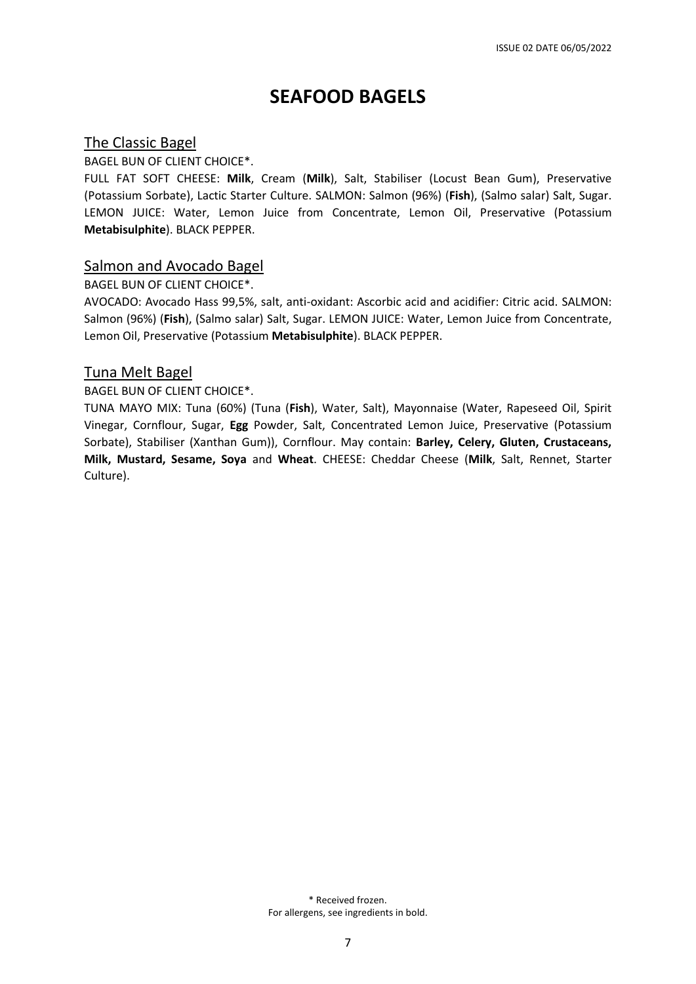## **SEAFOOD BAGELS**

#### The Classic Bagel

BAGEL BUN OF CLIENT CHOICE\*.

FULL FAT SOFT CHEESE: **Milk**, Cream (**Milk**), Salt, Stabiliser (Locust Bean Gum), Preservative (Potassium Sorbate), Lactic Starter Culture. SALMON: Salmon (96%) (**Fish**), (Salmo salar) Salt, Sugar. LEMON JUICE: Water, Lemon Juice from Concentrate, Lemon Oil, Preservative (Potassium **Metabisulphite**). BLACK PEPPER.

#### Salmon and Avocado Bagel

BAGEL BUN OF CLIENT CHOICE\*.

AVOCADO: Avocado Hass 99,5%, salt, anti-oxidant: Ascorbic acid and acidifier: Citric acid. SALMON: Salmon (96%) (**Fish**), (Salmo salar) Salt, Sugar. LEMON JUICE: Water, Lemon Juice from Concentrate, Lemon Oil, Preservative (Potassium **Metabisulphite**). BLACK PEPPER.

#### Tuna Melt Bagel

#### BAGEL BUN OF CLIENT CHOICE\*.

TUNA MAYO MIX: Tuna (60%) (Tuna (**Fish**), Water, Salt), Mayonnaise (Water, Rapeseed Oil, Spirit Vinegar, Cornflour, Sugar, **Egg** Powder, Salt, Concentrated Lemon Juice, Preservative (Potassium Sorbate), Stabiliser (Xanthan Gum)), Cornflour. May contain: **Barley, Celery, Gluten, Crustaceans, Milk, Mustard, Sesame, Soya** and **Wheat**. CHEESE: Cheddar Cheese (**Milk**, Salt, Rennet, Starter Culture).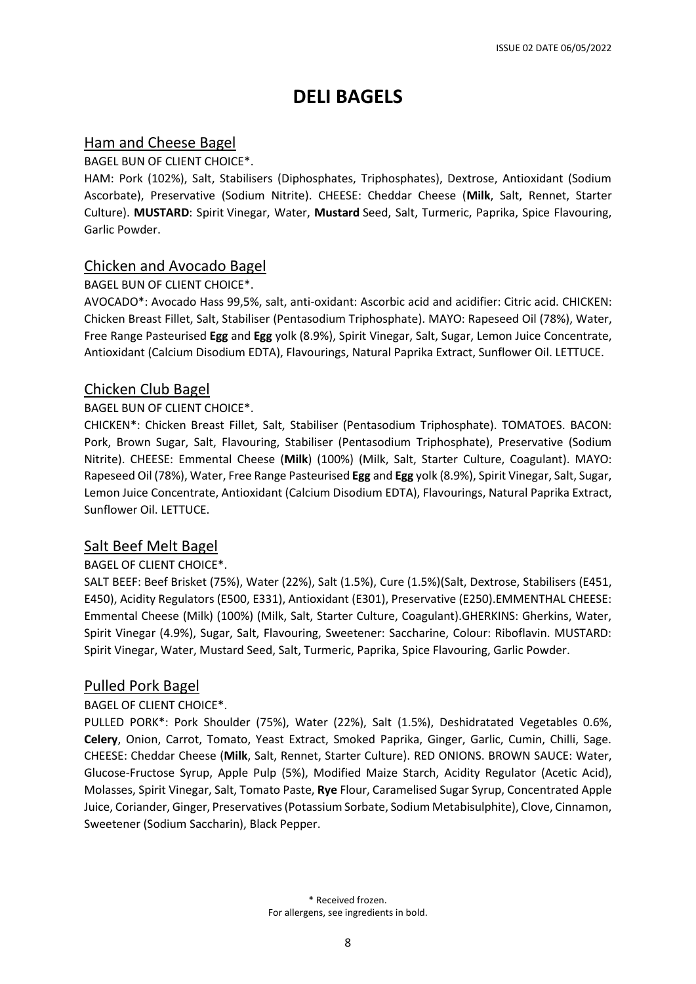# **DELI BAGELS**

## Ham and Cheese Bagel

BAGEL BUN OF CLIENT CHOICE\*.

HAM: Pork (102%), Salt, Stabilisers (Diphosphates, Triphosphates), Dextrose, Antioxidant (Sodium Ascorbate), Preservative (Sodium Nitrite). CHEESE: Cheddar Cheese (**Milk**, Salt, Rennet, Starter Culture). **MUSTARD**: Spirit Vinegar, Water, **Mustard** Seed, Salt, Turmeric, Paprika, Spice Flavouring, Garlic Powder.

## Chicken and Avocado Bagel

#### BAGEL BUN OF CLIENT CHOICE\*.

AVOCADO\*: Avocado Hass 99,5%, salt, anti-oxidant: Ascorbic acid and acidifier: Citric acid. CHICKEN: Chicken Breast Fillet, Salt, Stabiliser (Pentasodium Triphosphate). MAYO: Rapeseed Oil (78%), Water, Free Range Pasteurised **Egg** and **Egg** yolk (8.9%), Spirit Vinegar, Salt, Sugar, Lemon Juice Concentrate, Antioxidant (Calcium Disodium EDTA), Flavourings, Natural Paprika Extract, Sunflower Oil. LETTUCE.

## Chicken Club Bagel

#### BAGEL BUN OF CLIENT CHOICE\*.

CHICKEN\*: Chicken Breast Fillet, Salt, Stabiliser (Pentasodium Triphosphate). TOMATOES. BACON: Pork, Brown Sugar, Salt, Flavouring, Stabiliser (Pentasodium Triphosphate), Preservative (Sodium Nitrite). CHEESE: Emmental Cheese (**Milk**) (100%) (Milk, Salt, Starter Culture, Coagulant). MAYO: Rapeseed Oil (78%), Water, Free Range Pasteurised **Egg** and **Egg** yolk (8.9%), Spirit Vinegar, Salt, Sugar, Lemon Juice Concentrate, Antioxidant (Calcium Disodium EDTA), Flavourings, Natural Paprika Extract, Sunflower Oil. LETTUCE.

## Salt Beef Melt Bagel

#### BAGEL OF CLIENT CHOICE\*.

SALT BEEF: Beef Brisket (75%), Water (22%), Salt (1.5%), Cure (1.5%)(Salt, Dextrose, Stabilisers (E451, E450), Acidity Regulators (E500, E331), Antioxidant (E301), Preservative (E250).EMMENTHAL CHEESE: Emmental Cheese (Milk) (100%) (Milk, Salt, Starter Culture, Coagulant).GHERKINS: Gherkins, Water, Spirit Vinegar (4.9%), Sugar, Salt, Flavouring, Sweetener: Saccharine, Colour: Riboflavin. MUSTARD: Spirit Vinegar, Water, Mustard Seed, Salt, Turmeric, Paprika, Spice Flavouring, Garlic Powder.

## Pulled Pork Bagel

#### BAGEL OF CLIENT CHOICE\*.

PULLED PORK\*: Pork Shoulder (75%), Water (22%), Salt (1.5%), Deshidratated Vegetables 0.6%, **Celery**, Onion, Carrot, Tomato, Yeast Extract, Smoked Paprika, Ginger, Garlic, Cumin, Chilli, Sage. CHEESE: Cheddar Cheese (**Milk**, Salt, Rennet, Starter Culture). RED ONIONS. BROWN SAUCE: Water, Glucose-Fructose Syrup, Apple Pulp (5%), Modified Maize Starch, Acidity Regulator (Acetic Acid), Molasses, Spirit Vinegar, Salt, Tomato Paste, **Rye** Flour, Caramelised Sugar Syrup, Concentrated Apple Juice, Coriander, Ginger, Preservatives(Potassium Sorbate, Sodium Metabisulphite), Clove, Cinnamon, Sweetener (Sodium Saccharin), Black Pepper.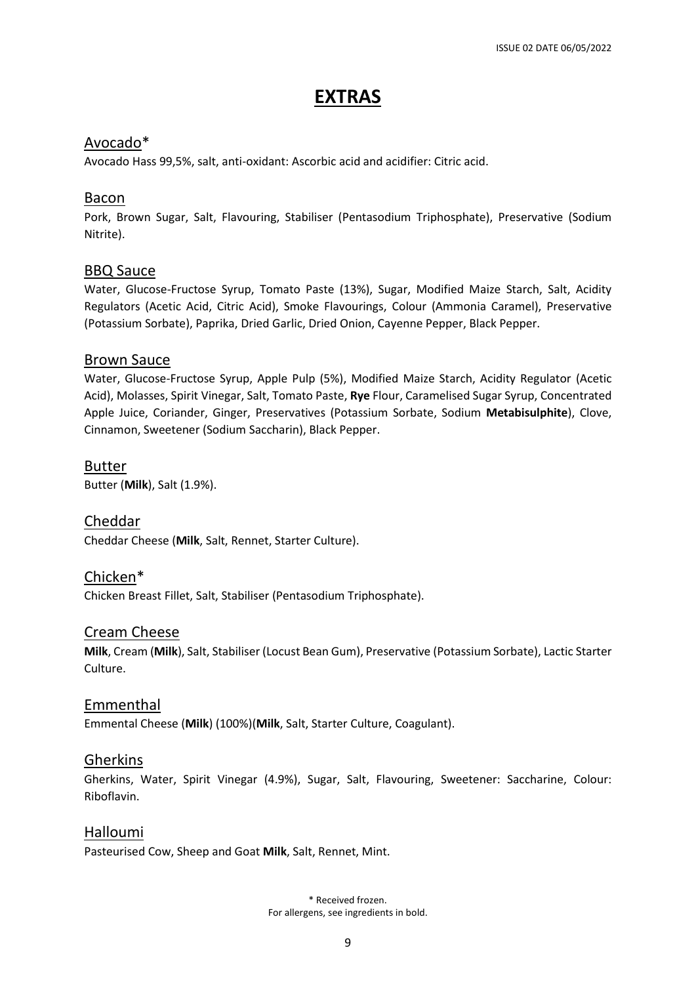# **EXTRAS**

## Avocado\*

Avocado Hass 99,5%, salt, anti-oxidant: Ascorbic acid and acidifier: Citric acid.

## Bacon

Pork, Brown Sugar, Salt, Flavouring, Stabiliser (Pentasodium Triphosphate), Preservative (Sodium Nitrite).

## BBQ Sauce

Water, Glucose-Fructose Syrup, Tomato Paste (13%), Sugar, Modified Maize Starch, Salt, Acidity Regulators (Acetic Acid, Citric Acid), Smoke Flavourings, Colour (Ammonia Caramel), Preservative (Potassium Sorbate), Paprika, Dried Garlic, Dried Onion, Cayenne Pepper, Black Pepper.

#### Brown Sauce

Water, Glucose-Fructose Syrup, Apple Pulp (5%), Modified Maize Starch, Acidity Regulator (Acetic Acid), Molasses, Spirit Vinegar, Salt, Tomato Paste, **Rye** Flour, Caramelised Sugar Syrup, Concentrated Apple Juice, Coriander, Ginger, Preservatives (Potassium Sorbate, Sodium **Metabisulphite**), Clove, Cinnamon, Sweetener (Sodium Saccharin), Black Pepper.

Butter

Butter (**Milk**), Salt (1.9%).

Cheddar Cheddar Cheese (**Milk**, Salt, Rennet, Starter Culture).

## Chicken\*

Chicken Breast Fillet, Salt, Stabiliser (Pentasodium Triphosphate).

## Cream Cheese

**Milk**, Cream (**Milk**), Salt, Stabiliser (Locust Bean Gum), Preservative (Potassium Sorbate), Lactic Starter Culture.

#### Emmenthal

Emmental Cheese (**Milk**) (100%)(**Milk**, Salt, Starter Culture, Coagulant).

#### Gherkins

Gherkins, Water, Spirit Vinegar (4.9%), Sugar, Salt, Flavouring, Sweetener: Saccharine, Colour: Riboflavin.

## Halloumi

Pasteurised Cow, Sheep and Goat **Milk**, Salt, Rennet, Mint.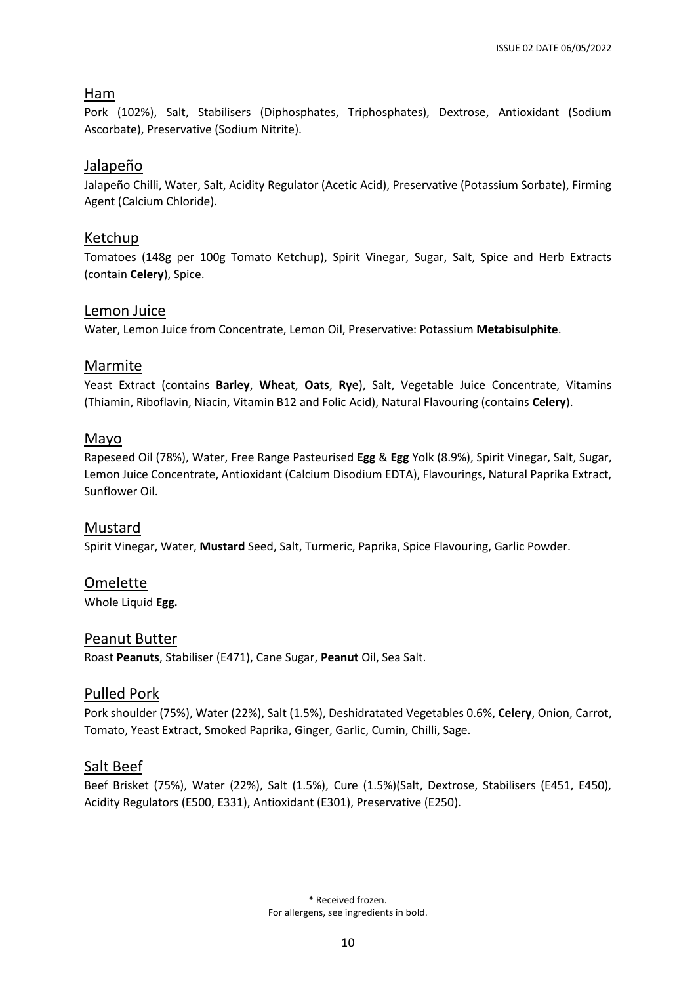## Ham

Pork (102%), Salt, Stabilisers (Diphosphates, Triphosphates), Dextrose, Antioxidant (Sodium Ascorbate), Preservative (Sodium Nitrite).

## Jalapeño

Jalapeño Chilli, Water, Salt, Acidity Regulator (Acetic Acid), Preservative (Potassium Sorbate), Firming Agent (Calcium Chloride).

## Ketchup

Tomatoes (148g per 100g Tomato Ketchup), Spirit Vinegar, Sugar, Salt, Spice and Herb Extracts (contain **Celery**), Spice.

## Lemon Juice

Water, Lemon Juice from Concentrate, Lemon Oil, Preservative: Potassium **Metabisulphite**.

## Marmite

Yeast Extract (contains **Barley**, **Wheat**, **Oats**, **Rye**), Salt, Vegetable Juice Concentrate, Vitamins (Thiamin, Riboflavin, Niacin, Vitamin B12 and Folic Acid), Natural Flavouring (contains **Celery**).

## Mayo

Rapeseed Oil (78%), Water, Free Range Pasteurised **Egg** & **Egg** Yolk (8.9%), Spirit Vinegar, Salt, Sugar, Lemon Juice Concentrate, Antioxidant (Calcium Disodium EDTA), Flavourings, Natural Paprika Extract, Sunflower Oil.

## Mustard

Spirit Vinegar, Water, **Mustard** Seed, Salt, Turmeric, Paprika, Spice Flavouring, Garlic Powder.

## Omelette

Whole Liquid **Egg.**

## Peanut Butter

Roast **Peanuts**, Stabiliser (E471), Cane Sugar, **Peanut** Oil, Sea Salt.

## Pulled Pork

Pork shoulder (75%), Water (22%), Salt (1.5%), Deshidratated Vegetables 0.6%, **Celery**, Onion, Carrot, Tomato, Yeast Extract, Smoked Paprika, Ginger, Garlic, Cumin, Chilli, Sage.

## Salt Beef

Beef Brisket (75%), Water (22%), Salt (1.5%), Cure (1.5%)(Salt, Dextrose, Stabilisers (E451, E450), Acidity Regulators (E500, E331), Antioxidant (E301), Preservative (E250).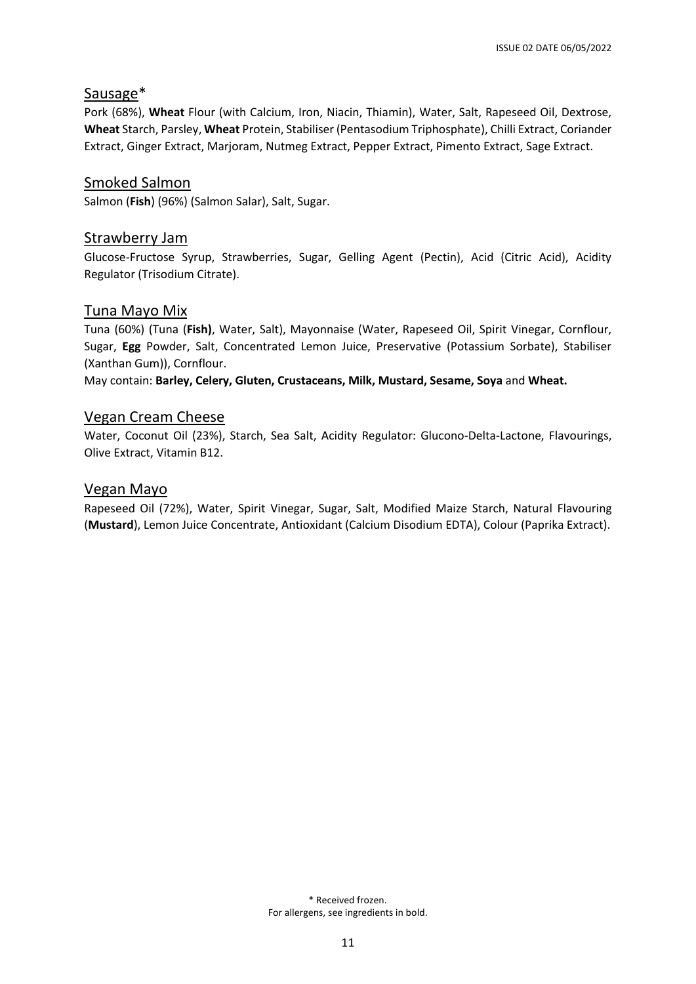#### Sausage\*

Pork (68%), **Wheat** Flour (with Calcium, Iron, Niacin, Thiamin), Water, Salt, Rapeseed Oil, Dextrose, **Wheat** Starch, Parsley, **Wheat** Protein, Stabiliser (Pentasodium Triphosphate), Chilli Extract, Coriander Extract, Ginger Extract, Marjoram, Nutmeg Extract, Pepper Extract, Pimento Extract, Sage Extract.

## Smoked Salmon

Salmon (**Fish**) (96%) (Salmon Salar), Salt, Sugar.

#### Strawberry Jam

Glucose-Fructose Syrup, Strawberries, Sugar, Gelling Agent (Pectin), Acid (Citric Acid), Acidity Regulator (Trisodium Citrate).

#### Tuna Mayo Mix

Tuna (60%) (Tuna (**Fish)**, Water, Salt), Mayonnaise (Water, Rapeseed Oil, Spirit Vinegar, Cornflour, Sugar, **Egg** Powder, Salt, Concentrated Lemon Juice, Preservative (Potassium Sorbate), Stabiliser (Xanthan Gum)), Cornflour.

May contain: **Barley, Celery, Gluten, Crustaceans, Milk, Mustard, Sesame, Soya** and **Wheat.**

#### Vegan Cream Cheese

Water, Coconut Oil (23%), Starch, Sea Salt, Acidity Regulator: Glucono-Delta-Lactone, Flavourings, Olive Extract, Vitamin B12.

#### Vegan Mayo

Rapeseed Oil (72%), Water, Spirit Vinegar, Sugar, Salt, Modified Maize Starch, Natural Flavouring (**Mustard**), Lemon Juice Concentrate, Antioxidant (Calcium Disodium EDTA), Colour (Paprika Extract).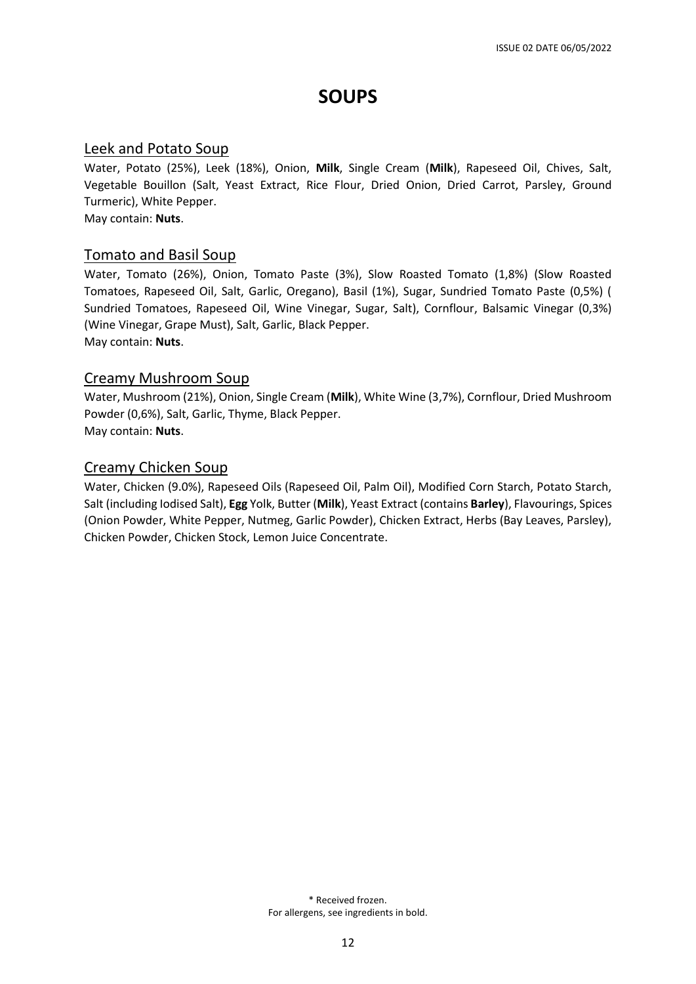# **SOUPS**

#### Leek and Potato Soup

Water, Potato (25%), Leek (18%), Onion, **Milk**, Single Cream (**Milk**), Rapeseed Oil, Chives, Salt, Vegetable Bouillon (Salt, Yeast Extract, Rice Flour, Dried Onion, Dried Carrot, Parsley, Ground Turmeric), White Pepper.

May contain: **Nuts**.

## Tomato and Basil Soup

Water, Tomato (26%), Onion, Tomato Paste (3%), Slow Roasted Tomato (1,8%) (Slow Roasted Tomatoes, Rapeseed Oil, Salt, Garlic, Oregano), Basil (1%), Sugar, Sundried Tomato Paste (0,5%) ( Sundried Tomatoes, Rapeseed Oil, Wine Vinegar, Sugar, Salt), Cornflour, Balsamic Vinegar (0,3%) (Wine Vinegar, Grape Must), Salt, Garlic, Black Pepper. May contain: **Nuts**.

#### Creamy Mushroom Soup

Water, Mushroom (21%), Onion, Single Cream (**Milk**), White Wine (3,7%), Cornflour, Dried Mushroom Powder (0,6%), Salt, Garlic, Thyme, Black Pepper. May contain: **Nuts**.

## Creamy Chicken Soup

Water, Chicken (9.0%), Rapeseed Oils (Rapeseed Oil, Palm Oil), Modified Corn Starch, Potato Starch, Salt (including Iodised Salt), **Egg** Yolk, Butter (**Milk**), Yeast Extract (contains **Barley**), Flavourings, Spices (Onion Powder, White Pepper, Nutmeg, Garlic Powder), Chicken Extract, Herbs (Bay Leaves, Parsley), Chicken Powder, Chicken Stock, Lemon Juice Concentrate.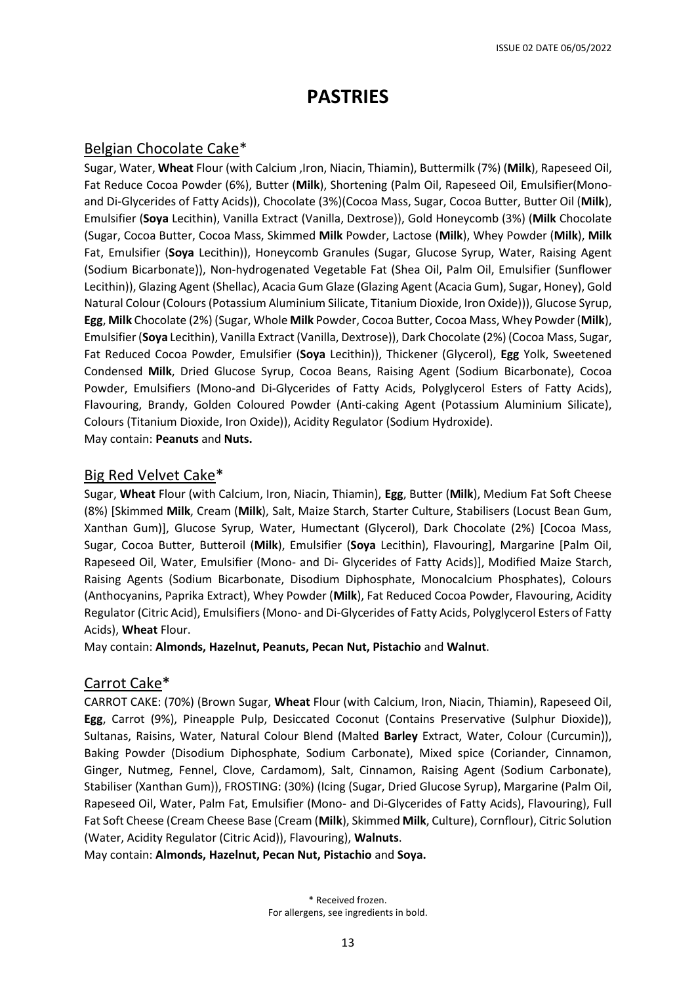# **PASTRIES**

#### Belgian Chocolate Cake\*

Sugar, Water, **Wheat** Flour (with Calcium ,Iron, Niacin, Thiamin), Buttermilk (7%) (**Milk**), Rapeseed Oil, Fat Reduce Cocoa Powder (6%), Butter (**Milk**), Shortening (Palm Oil, Rapeseed Oil, Emulsifier(Monoand Di-Glycerides of Fatty Acids)), Chocolate (3%)(Cocoa Mass, Sugar, Cocoa Butter, Butter Oil (**Milk**), Emulsifier (**Soya** Lecithin), Vanilla Extract (Vanilla, Dextrose)), Gold Honeycomb (3%) (**Milk** Chocolate (Sugar, Cocoa Butter, Cocoa Mass, Skimmed **Milk** Powder, Lactose (**Milk**), Whey Powder (**Milk**), **Milk** Fat, Emulsifier (**Soya** Lecithin)), Honeycomb Granules (Sugar, Glucose Syrup, Water, Raising Agent (Sodium Bicarbonate)), Non-hydrogenated Vegetable Fat (Shea Oil, Palm Oil, Emulsifier (Sunflower Lecithin)), Glazing Agent (Shellac), Acacia Gum Glaze (Glazing Agent (Acacia Gum), Sugar, Honey), Gold Natural Colour (Colours(Potassium Aluminium Silicate, Titanium Dioxide, Iron Oxide))), Glucose Syrup, **Egg**, **Milk** Chocolate (2%) (Sugar, Whole **Milk** Powder, Cocoa Butter, Cocoa Mass, Whey Powder(**Milk**), Emulsifier(**Soya** Lecithin), Vanilla Extract(Vanilla, Dextrose)), Dark Chocolate (2%) (Cocoa Mass, Sugar, Fat Reduced Cocoa Powder, Emulsifier (**Soya** Lecithin)), Thickener (Glycerol), **Egg** Yolk, Sweetened Condensed **Milk**, Dried Glucose Syrup, Cocoa Beans, Raising Agent (Sodium Bicarbonate), Cocoa Powder, Emulsifiers (Mono-and Di-Glycerides of Fatty Acids, Polyglycerol Esters of Fatty Acids), Flavouring, Brandy, Golden Coloured Powder (Anti-caking Agent (Potassium Aluminium Silicate), Colours (Titanium Dioxide, Iron Oxide)), Acidity Regulator (Sodium Hydroxide). May contain: **Peanuts** and **Nuts.**

Big Red Velvet Cake\*

Sugar, **Wheat** Flour (with Calcium, Iron, Niacin, Thiamin), **Egg**, Butter (**Milk**), Medium Fat Soft Cheese (8%) [Skimmed **Milk**, Cream (**Milk**), Salt, Maize Starch, Starter Culture, Stabilisers (Locust Bean Gum, Xanthan Gum)], Glucose Syrup, Water, Humectant (Glycerol), Dark Chocolate (2%) [Cocoa Mass, Sugar, Cocoa Butter, Butteroil (**Milk**), Emulsifier (**Soya** Lecithin), Flavouring], Margarine [Palm Oil, Rapeseed Oil, Water, Emulsifier (Mono- and Di- Glycerides of Fatty Acids)], Modified Maize Starch, Raising Agents (Sodium Bicarbonate, Disodium Diphosphate, Monocalcium Phosphates), Colours (Anthocyanins, Paprika Extract), Whey Powder (**Milk**), Fat Reduced Cocoa Powder, Flavouring, Acidity Regulator (Citric Acid), Emulsifiers (Mono- and Di-Glycerides of Fatty Acids, Polyglycerol Esters of Fatty Acids), **Wheat** Flour.

May contain: **Almonds, Hazelnut, Peanuts, Pecan Nut, Pistachio** and **Walnut**.

#### Carrot Cake\*

CARROT CAKE: (70%) (Brown Sugar, **Wheat** Flour (with Calcium, Iron, Niacin, Thiamin), Rapeseed Oil, **Egg**, Carrot (9%), Pineapple Pulp, Desiccated Coconut (Contains Preservative (Sulphur Dioxide)), Sultanas, Raisins, Water, Natural Colour Blend (Malted **Barley** Extract, Water, Colour (Curcumin)), Baking Powder (Disodium Diphosphate, Sodium Carbonate), Mixed spice (Coriander, Cinnamon, Ginger, Nutmeg, Fennel, Clove, Cardamom), Salt, Cinnamon, Raising Agent (Sodium Carbonate), Stabiliser (Xanthan Gum)), FROSTING: (30%) (Icing (Sugar, Dried Glucose Syrup), Margarine (Palm Oil, Rapeseed Oil, Water, Palm Fat, Emulsifier (Mono- and Di-Glycerides of Fatty Acids), Flavouring), Full Fat Soft Cheese (Cream Cheese Base (Cream (**Milk**), Skimmed **Milk**, Culture), Cornflour), Citric Solution (Water, Acidity Regulator (Citric Acid)), Flavouring), **Walnuts**.

May contain: **Almonds, Hazelnut, Pecan Nut, Pistachio** and **Soya.**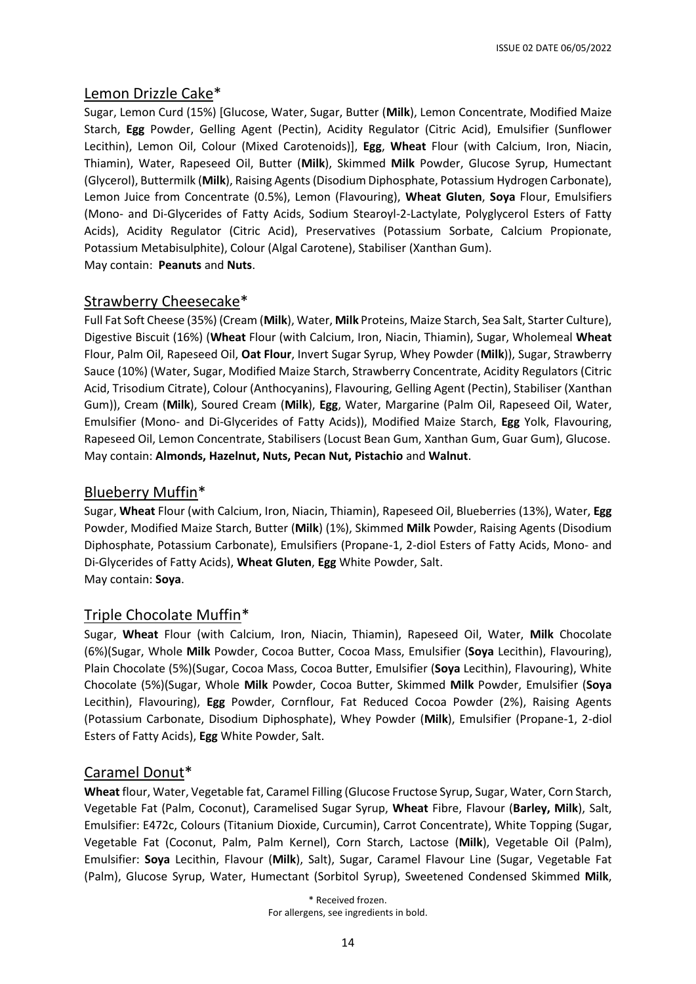## Lemon Drizzle Cake\*

Sugar, Lemon Curd (15%) [Glucose, Water, Sugar, Butter (**Milk**), Lemon Concentrate, Modified Maize Starch, **Egg** Powder, Gelling Agent (Pectin), Acidity Regulator (Citric Acid), Emulsifier (Sunflower Lecithin), Lemon Oil, Colour (Mixed Carotenoids)], **Egg**, **Wheat** Flour (with Calcium, Iron, Niacin, Thiamin), Water, Rapeseed Oil, Butter (**Milk**), Skimmed **Milk** Powder, Glucose Syrup, Humectant (Glycerol), Buttermilk (**Milk**), Raising Agents (Disodium Diphosphate, Potassium Hydrogen Carbonate), Lemon Juice from Concentrate (0.5%), Lemon (Flavouring), **Wheat Gluten**, **Soya** Flour, Emulsifiers (Mono- and Di-Glycerides of Fatty Acids, Sodium Stearoyl-2-Lactylate, Polyglycerol Esters of Fatty Acids), Acidity Regulator (Citric Acid), Preservatives (Potassium Sorbate, Calcium Propionate, Potassium Metabisulphite), Colour (Algal Carotene), Stabiliser (Xanthan Gum). May contain: **Peanuts** and **Nuts**.

## Strawberry Cheesecake\*

Full Fat Soft Cheese (35%) (Cream (**Milk**), Water, **Milk** Proteins, Maize Starch, Sea Salt, Starter Culture), Digestive Biscuit (16%) (**Wheat** Flour (with Calcium, Iron, Niacin, Thiamin), Sugar, Wholemeal **Wheat** Flour, Palm Oil, Rapeseed Oil, **Oat Flour**, Invert Sugar Syrup, Whey Powder (**Milk**)), Sugar, Strawberry Sauce (10%) (Water, Sugar, Modified Maize Starch, Strawberry Concentrate, Acidity Regulators (Citric Acid, Trisodium Citrate), Colour (Anthocyanins), Flavouring, Gelling Agent (Pectin), Stabiliser (Xanthan Gum)), Cream (**Milk**), Soured Cream (**Milk**), **Egg**, Water, Margarine (Palm Oil, Rapeseed Oil, Water, Emulsifier (Mono- and Di-Glycerides of Fatty Acids)), Modified Maize Starch, **Egg** Yolk, Flavouring, Rapeseed Oil, Lemon Concentrate, Stabilisers (Locust Bean Gum, Xanthan Gum, Guar Gum), Glucose. May contain: **Almonds, Hazelnut, Nuts, Pecan Nut, Pistachio** and **Walnut**.

#### Blueberry Muffin\*

Sugar, **Wheat** Flour (with Calcium, Iron, Niacin, Thiamin), Rapeseed Oil, Blueberries (13%), Water, **Egg** Powder, Modified Maize Starch, Butter (**Milk**) (1%), Skimmed **Milk** Powder, Raising Agents (Disodium Diphosphate, Potassium Carbonate), Emulsifiers (Propane-1, 2-diol Esters of Fatty Acids, Mono- and Di-Glycerides of Fatty Acids), **Wheat Gluten**, **Egg** White Powder, Salt. May contain: **Soya**.

#### Triple Chocolate Muffin\*

Sugar, **Wheat** Flour (with Calcium, Iron, Niacin, Thiamin), Rapeseed Oil, Water, **Milk** Chocolate (6%)(Sugar, Whole **Milk** Powder, Cocoa Butter, Cocoa Mass, Emulsifier (**Soya** Lecithin), Flavouring), Plain Chocolate (5%)(Sugar, Cocoa Mass, Cocoa Butter, Emulsifier (**Soya** Lecithin), Flavouring), White Chocolate (5%)(Sugar, Whole **Milk** Powder, Cocoa Butter, Skimmed **Milk** Powder, Emulsifier (**Soya** Lecithin), Flavouring), **Egg** Powder, Cornflour, Fat Reduced Cocoa Powder (2%), Raising Agents (Potassium Carbonate, Disodium Diphosphate), Whey Powder (**Milk**), Emulsifier (Propane-1, 2-diol Esters of Fatty Acids), **Egg** White Powder, Salt.

## Caramel Donut\*

**Wheat** flour, Water, Vegetable fat, Caramel Filling (Glucose Fructose Syrup, Sugar, Water, Corn Starch, Vegetable Fat (Palm, Coconut), Caramelised Sugar Syrup, **Wheat** Fibre, Flavour (**Barley, Milk**), Salt, Emulsifier: E472c, Colours (Titanium Dioxide, Curcumin), Carrot Concentrate), White Topping (Sugar, Vegetable Fat (Coconut, Palm, Palm Kernel), Corn Starch, Lactose (**Milk**), Vegetable Oil (Palm), Emulsifier: **Soya** Lecithin, Flavour (**Milk**), Salt), Sugar, Caramel Flavour Line (Sugar, Vegetable Fat (Palm), Glucose Syrup, Water, Humectant (Sorbitol Syrup), Sweetened Condensed Skimmed **Milk**,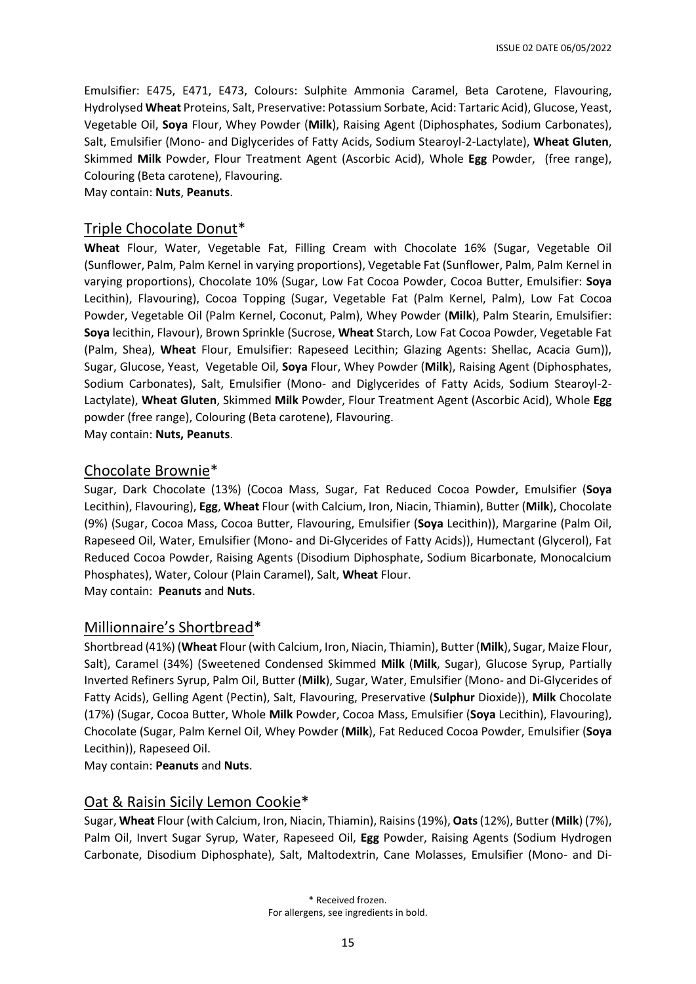Emulsifier: E475, E471, E473, Colours: Sulphite Ammonia Caramel, Beta Carotene, Flavouring, Hydrolysed **Wheat** Proteins, Salt, Preservative: Potassium Sorbate, Acid: Tartaric Acid), Glucose, Yeast, Vegetable Oil, **Soya** Flour, Whey Powder (**Milk**), Raising Agent (Diphosphates, Sodium Carbonates), Salt, Emulsifier (Mono- and Diglycerides of Fatty Acids, Sodium Stearoyl-2-Lactylate), **Wheat Gluten**, Skimmed **Milk** Powder, Flour Treatment Agent (Ascorbic Acid), Whole **Egg** Powder, (free range), Colouring (Beta carotene), Flavouring.

May contain: **Nuts**, **Peanuts**.

#### Triple Chocolate Donut\*

**Wheat** Flour, Water, Vegetable Fat, Filling Cream with Chocolate 16% (Sugar, Vegetable Oil (Sunflower, Palm, Palm Kernel in varying proportions), Vegetable Fat (Sunflower, Palm, Palm Kernel in varying proportions), Chocolate 10% (Sugar, Low Fat Cocoa Powder, Cocoa Butter, Emulsifier: **Soya** Lecithin), Flavouring), Cocoa Topping (Sugar, Vegetable Fat (Palm Kernel, Palm), Low Fat Cocoa Powder, Vegetable Oil (Palm Kernel, Coconut, Palm), Whey Powder (**Milk**), Palm Stearin, Emulsifier: **Soya** lecithin, Flavour), Brown Sprinkle (Sucrose, **Wheat** Starch, Low Fat Cocoa Powder, Vegetable Fat (Palm, Shea), **Wheat** Flour, Emulsifier: Rapeseed Lecithin; Glazing Agents: Shellac, Acacia Gum)), Sugar, Glucose, Yeast, Vegetable Oil, **Soya** Flour, Whey Powder (**Milk**), Raising Agent (Diphosphates, Sodium Carbonates), Salt, Emulsifier (Mono- and Diglycerides of Fatty Acids, Sodium Stearoyl-2- Lactylate), **Wheat Gluten**, Skimmed **Milk** Powder, Flour Treatment Agent (Ascorbic Acid), Whole **Egg** powder (free range), Colouring (Beta carotene), Flavouring. May contain: **Nuts, Peanuts**.

#### Chocolate Brownie\*

Sugar, Dark Chocolate (13%) (Cocoa Mass, Sugar, Fat Reduced Cocoa Powder, Emulsifier (**Soya** Lecithin), Flavouring), **Egg**, **Wheat** Flour (with Calcium, Iron, Niacin, Thiamin), Butter (**Milk**), Chocolate (9%) (Sugar, Cocoa Mass, Cocoa Butter, Flavouring, Emulsifier (**Soya** Lecithin)), Margarine (Palm Oil, Rapeseed Oil, Water, Emulsifier (Mono- and Di-Glycerides of Fatty Acids)), Humectant (Glycerol), Fat Reduced Cocoa Powder, Raising Agents (Disodium Diphosphate, Sodium Bicarbonate, Monocalcium Phosphates), Water, Colour (Plain Caramel), Salt, **Wheat** Flour.

May contain: **Peanuts** and **Nuts**.

## Millionnaire's Shortbread\*

Shortbread (41%) (**Wheat** Flour (with Calcium, Iron, Niacin, Thiamin), Butter (**Milk**), Sugar, Maize Flour, Salt), Caramel (34%) (Sweetened Condensed Skimmed **Milk** (**Milk**, Sugar), Glucose Syrup, Partially Inverted Refiners Syrup, Palm Oil, Butter (**Milk**), Sugar, Water, Emulsifier (Mono- and Di-Glycerides of Fatty Acids), Gelling Agent (Pectin), Salt, Flavouring, Preservative (**Sulphur** Dioxide)), **Milk** Chocolate (17%) (Sugar, Cocoa Butter, Whole **Milk** Powder, Cocoa Mass, Emulsifier (**Soya** Lecithin), Flavouring), Chocolate (Sugar, Palm Kernel Oil, Whey Powder (**Milk**), Fat Reduced Cocoa Powder, Emulsifier (**Soya**  Lecithin)), Rapeseed Oil.

May contain: **Peanuts** and **Nuts**.

## Oat & Raisin Sicily Lemon Cookie\*

Sugar, **Wheat** Flour (with Calcium, Iron, Niacin, Thiamin), Raisins (19%), **Oats**(12%), Butter (**Milk**) (7%), Palm Oil, Invert Sugar Syrup, Water, Rapeseed Oil, **Egg** Powder, Raising Agents (Sodium Hydrogen Carbonate, Disodium Diphosphate), Salt, Maltodextrin, Cane Molasses, Emulsifier (Mono- and Di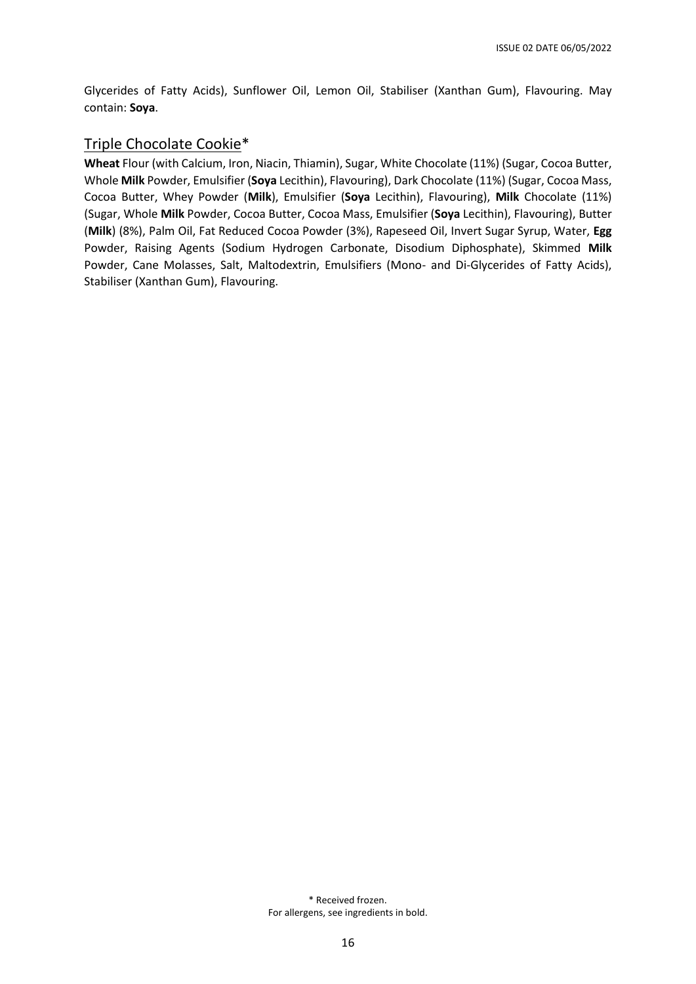Glycerides of Fatty Acids), Sunflower Oil, Lemon Oil, Stabiliser (Xanthan Gum), Flavouring. May contain: **Soya**.

#### Triple Chocolate Cookie\*

**Wheat** Flour (with Calcium, Iron, Niacin, Thiamin), Sugar, White Chocolate (11%) (Sugar, Cocoa Butter, Whole **Milk** Powder, Emulsifier (**Soya** Lecithin), Flavouring), Dark Chocolate (11%) (Sugar, Cocoa Mass, Cocoa Butter, Whey Powder (**Milk**), Emulsifier (**Soya** Lecithin), Flavouring), **Milk** Chocolate (11%) (Sugar, Whole **Milk** Powder, Cocoa Butter, Cocoa Mass, Emulsifier (**Soya** Lecithin), Flavouring), Butter (**Milk**) (8%), Palm Oil, Fat Reduced Cocoa Powder (3%), Rapeseed Oil, Invert Sugar Syrup, Water, **Egg** Powder, Raising Agents (Sodium Hydrogen Carbonate, Disodium Diphosphate), Skimmed **Milk** Powder, Cane Molasses, Salt, Maltodextrin, Emulsifiers (Mono- and Di-Glycerides of Fatty Acids), Stabiliser (Xanthan Gum), Flavouring.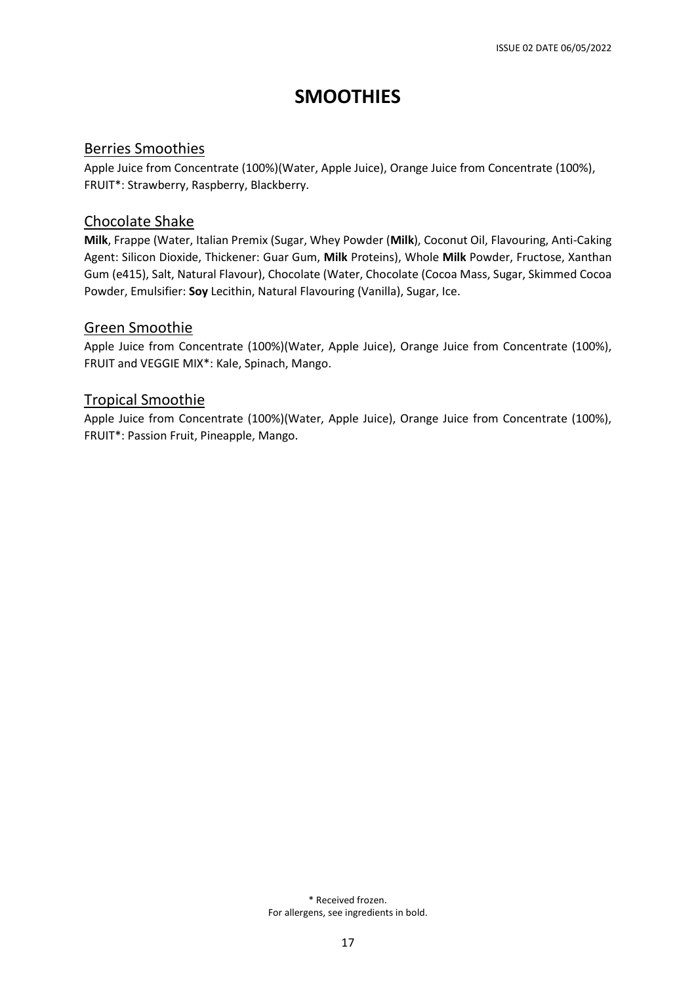# **SMOOTHIES**

#### Berries Smoothies

Apple Juice from Concentrate (100%)(Water, Apple Juice), Orange Juice from Concentrate (100%), FRUIT\*: Strawberry, Raspberry, Blackberry.

## Chocolate Shake

**Milk**, Frappe (Water, Italian Premix (Sugar, Whey Powder (**Milk**), Coconut Oil, Flavouring, Anti-Caking Agent: Silicon Dioxide, Thickener: Guar Gum, **Milk** Proteins), Whole **Milk** Powder, Fructose, Xanthan Gum (e415), Salt, Natural Flavour), Chocolate (Water, Chocolate (Cocoa Mass, Sugar, Skimmed Cocoa Powder, Emulsifier: **Soy** Lecithin, Natural Flavouring (Vanilla), Sugar, Ice.

#### Green Smoothie

Apple Juice from Concentrate (100%)(Water, Apple Juice), Orange Juice from Concentrate (100%), FRUIT and VEGGIE MIX\*: Kale, Spinach, Mango.

#### Tropical Smoothie

Apple Juice from Concentrate (100%)(Water, Apple Juice), Orange Juice from Concentrate (100%), FRUIT\*: Passion Fruit, Pineapple, Mango.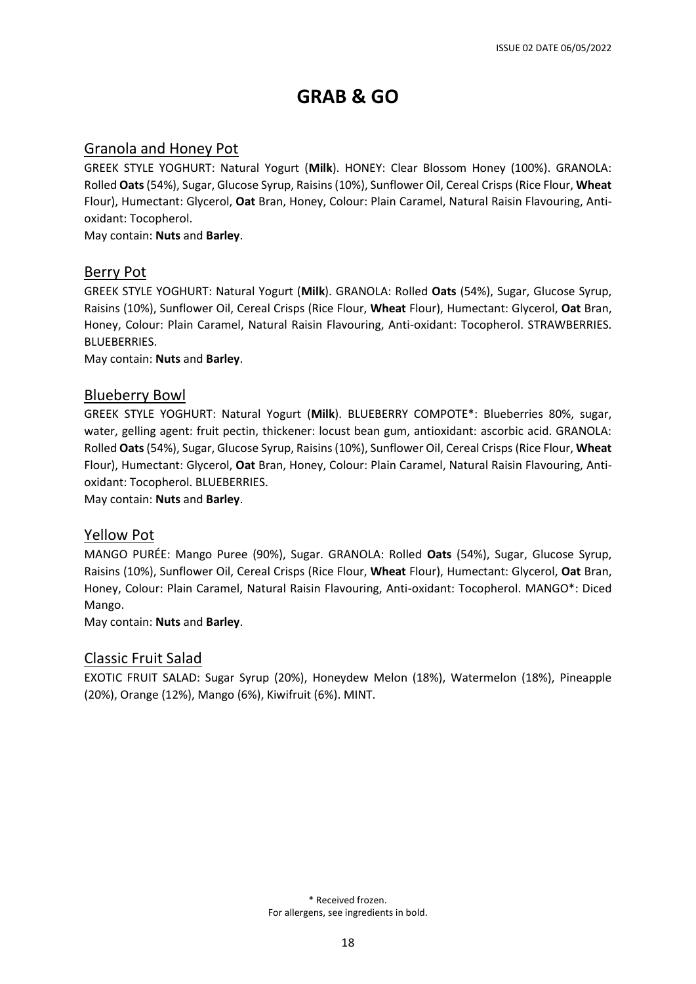# **GRAB & GO**

## Granola and Honey Pot

GREEK STYLE YOGHURT: Natural Yogurt (**Milk**). HONEY: Clear Blossom Honey (100%). GRANOLA: Rolled **Oats**(54%), Sugar, Glucose Syrup, Raisins (10%), Sunflower Oil, Cereal Crisps (Rice Flour, **Wheat** Flour), Humectant: Glycerol, **Oat** Bran, Honey, Colour: Plain Caramel, Natural Raisin Flavouring, Antioxidant: Tocopherol.

May contain: **Nuts** and **Barley**.

#### Berry Pot

GREEK STYLE YOGHURT: Natural Yogurt (**Milk**). GRANOLA: Rolled **Oats** (54%), Sugar, Glucose Syrup, Raisins (10%), Sunflower Oil, Cereal Crisps (Rice Flour, **Wheat** Flour), Humectant: Glycerol, **Oat** Bran, Honey, Colour: Plain Caramel, Natural Raisin Flavouring, Anti-oxidant: Tocopherol. STRAWBERRIES. BLUEBERRIES.

May contain: **Nuts** and **Barley**.

#### Blueberry Bowl

GREEK STYLE YOGHURT: Natural Yogurt (**Milk**). BLUEBERRY COMPOTE\*: Blueberries 80%, sugar, water, gelling agent: fruit pectin, thickener: locust bean gum, antioxidant: ascorbic acid. GRANOLA: Rolled **Oats**(54%), Sugar, Glucose Syrup, Raisins (10%), Sunflower Oil, Cereal Crisps (Rice Flour, **Wheat** Flour), Humectant: Glycerol, **Oat** Bran, Honey, Colour: Plain Caramel, Natural Raisin Flavouring, Antioxidant: Tocopherol. BLUEBERRIES.

May contain: **Nuts** and **Barley**.

#### Yellow Pot

MANGO PURÉE: Mango Puree (90%), Sugar. GRANOLA: Rolled **Oats** (54%), Sugar, Glucose Syrup, Raisins (10%), Sunflower Oil, Cereal Crisps (Rice Flour, **Wheat** Flour), Humectant: Glycerol, **Oat** Bran, Honey, Colour: Plain Caramel, Natural Raisin Flavouring, Anti-oxidant: Tocopherol. MANGO\*: Diced Mango.

May contain: **Nuts** and **Barley**.

#### Classic Fruit Salad

EXOTIC FRUIT SALAD: Sugar Syrup (20%), Honeydew Melon (18%), Watermelon (18%), Pineapple (20%), Orange (12%), Mango (6%), Kiwifruit (6%). MINT.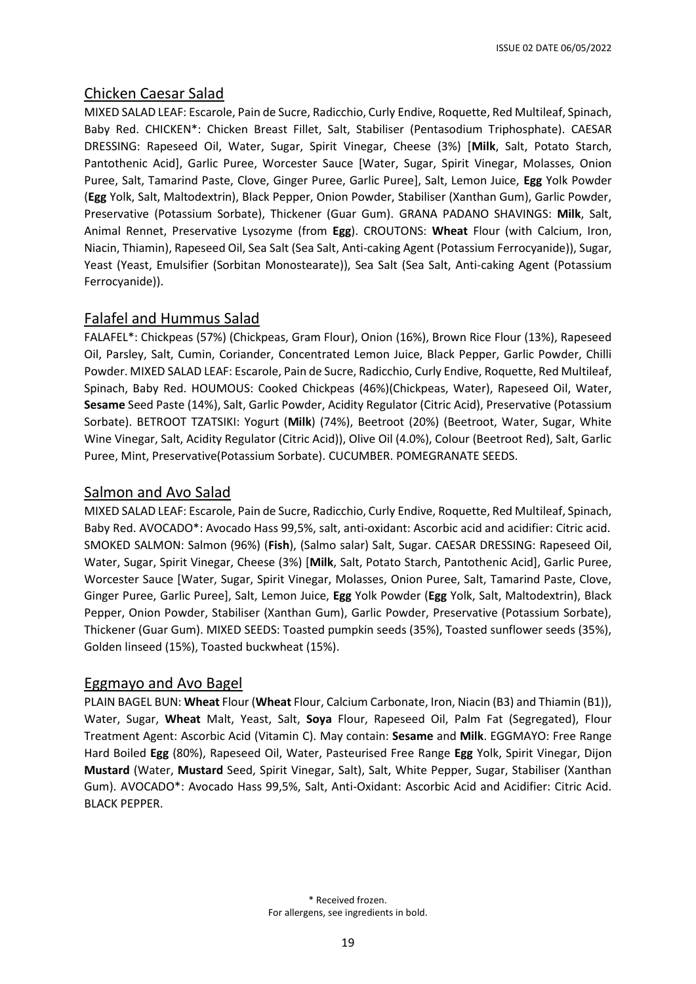## Chicken Caesar Salad

MIXED SALAD LEAF: Escarole, Pain de Sucre, Radicchio, Curly Endive, Roquette, Red Multileaf, Spinach, Baby Red. CHICKEN\*: Chicken Breast Fillet, Salt, Stabiliser (Pentasodium Triphosphate). CAESAR DRESSING: Rapeseed Oil, Water, Sugar, Spirit Vinegar, Cheese (3%) [**Milk**, Salt, Potato Starch, Pantothenic Acid], Garlic Puree, Worcester Sauce [Water, Sugar, Spirit Vinegar, Molasses, Onion Puree, Salt, Tamarind Paste, Clove, Ginger Puree, Garlic Puree], Salt, Lemon Juice, **Egg** Yolk Powder (**Egg** Yolk, Salt, Maltodextrin), Black Pepper, Onion Powder, Stabiliser (Xanthan Gum), Garlic Powder, Preservative (Potassium Sorbate), Thickener (Guar Gum). GRANA PADANO SHAVINGS: **Milk**, Salt, Animal Rennet, Preservative Lysozyme (from **Egg**). CROUTONS: **Wheat** Flour (with Calcium, Iron, Niacin, Thiamin), Rapeseed Oil, Sea Salt (Sea Salt, Anti-caking Agent (Potassium Ferrocyanide)), Sugar, Yeast (Yeast, Emulsifier (Sorbitan Monostearate)), Sea Salt (Sea Salt, Anti-caking Agent (Potassium Ferrocyanide)).

## Falafel and Hummus Salad

FALAFEL\*: Chickpeas (57%) (Chickpeas, Gram Flour), Onion (16%), Brown Rice Flour (13%), Rapeseed Oil, Parsley, Salt, Cumin, Coriander, Concentrated Lemon Juice, Black Pepper, Garlic Powder, Chilli Powder. MIXED SALAD LEAF: Escarole, Pain de Sucre, Radicchio, Curly Endive, Roquette, Red Multileaf, Spinach, Baby Red. HOUMOUS: Cooked Chickpeas (46%)(Chickpeas, Water), Rapeseed Oil, Water, **Sesame** Seed Paste (14%), Salt, Garlic Powder, Acidity Regulator (Citric Acid), Preservative (Potassium Sorbate). BETROOT TZATSIKI: Yogurt (**Milk**) (74%), Beetroot (20%) (Beetroot, Water, Sugar, White Wine Vinegar, Salt, Acidity Regulator (Citric Acid)), Olive Oil (4.0%), Colour (Beetroot Red), Salt, Garlic Puree, Mint, Preservative(Potassium Sorbate). CUCUMBER. POMEGRANATE SEEDS.

## Salmon and Avo Salad

MIXED SALAD LEAF: Escarole, Pain de Sucre, Radicchio, Curly Endive, Roquette, Red Multileaf, Spinach, Baby Red. AVOCADO\*: Avocado Hass 99,5%, salt, anti-oxidant: Ascorbic acid and acidifier: Citric acid. SMOKED SALMON: Salmon (96%) (**Fish**), (Salmo salar) Salt, Sugar. CAESAR DRESSING: Rapeseed Oil, Water, Sugar, Spirit Vinegar, Cheese (3%) [**Milk**, Salt, Potato Starch, Pantothenic Acid], Garlic Puree, Worcester Sauce [Water, Sugar, Spirit Vinegar, Molasses, Onion Puree, Salt, Tamarind Paste, Clove, Ginger Puree, Garlic Puree], Salt, Lemon Juice, **Egg** Yolk Powder (**Egg** Yolk, Salt, Maltodextrin), Black Pepper, Onion Powder, Stabiliser (Xanthan Gum), Garlic Powder, Preservative (Potassium Sorbate), Thickener (Guar Gum). MIXED SEEDS: Toasted pumpkin seeds (35%), Toasted sunflower seeds (35%), Golden linseed (15%), Toasted buckwheat (15%).

#### Eggmayo and Avo Bagel

PLAIN BAGEL BUN: **Wheat** Flour (**Wheat** Flour, Calcium Carbonate, Iron, Niacin (B3) and Thiamin (B1)), Water, Sugar, **Wheat** Malt, Yeast, Salt, **Soya** Flour, Rapeseed Oil, Palm Fat (Segregated), Flour Treatment Agent: Ascorbic Acid (Vitamin C). May contain: **Sesame** and **Milk**. EGGMAYO: Free Range Hard Boiled **Egg** (80%), Rapeseed Oil, Water, Pasteurised Free Range **Egg** Yolk, Spirit Vinegar, Dijon **Mustard** (Water, **Mustard** Seed, Spirit Vinegar, Salt), Salt, White Pepper, Sugar, Stabiliser (Xanthan Gum). AVOCADO\*: Avocado Hass 99,5%, Salt, Anti-Oxidant: Ascorbic Acid and Acidifier: Citric Acid. BLACK PEPPER.